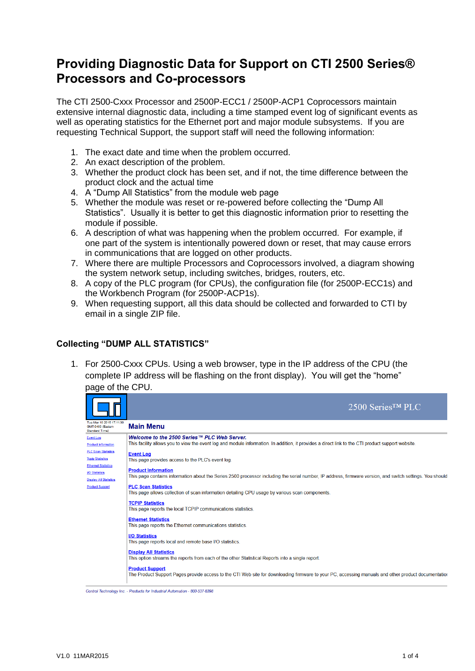## **Providing Diagnostic Data for Support on CTI 2500 Series® Processors and Co-processors**

The CTI 2500-Cxxx Processor and 2500P-ECC1 / 2500P-ACP1 Coprocessors maintain extensive internal diagnostic data, including a time stamped event log of significant events as well as operating statistics for the Ethernet port and major module subsystems. If you are requesting Technical Support, the support staff will need the following information:

- 1. The exact date and time when the problem occurred.
- 2. An exact description of the problem.
- 3. Whether the product clock has been set, and if not, the time difference between the product clock and the actual time
- 4. A "Dump All Statistics" from the module web page
- 5. Whether the module was reset or re-powered before collecting the "Dump All Statistics". Usually it is better to get this diagnostic information prior to resetting the module if possible.
- 6. A description of what was happening when the problem occurred. For example, if one part of the system is intentionally powered down or reset, that may cause errors in communications that are logged on other products.
- 7. Where there are multiple Processors and Coprocessors involved, a diagram showing the system network setup, including switches, bridges, routers, etc.
- 8. A copy of the PLC program (for CPUs), the configuration file (for 2500P-ECC1s) and the Workbench Program (for 2500P-ACP1s).
- 9. When requesting support, all this data should be collected and forwarded to CTI by email in a single ZIP file.

## **Collecting "DUMP ALL STATISTICS"**

1. For 2500-Cxxx CPUs. Using a web browser, type in the IP address of the CPU (the complete IP address will be flashing on the front display). You will get the "home" page of the CPU.



Control Technology Inc. - Products for Industrial Automation - 800-537-8398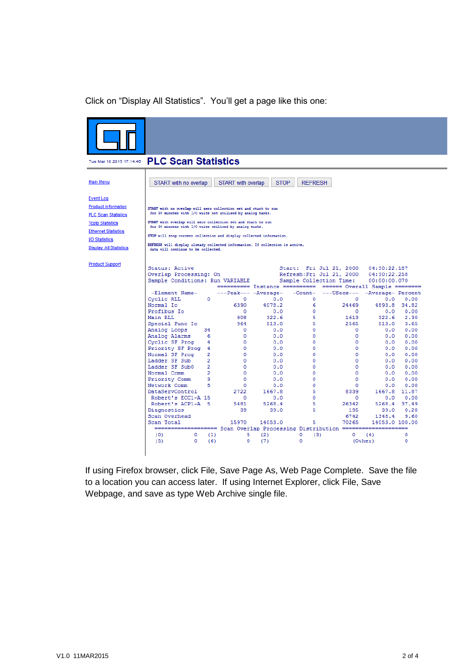## Click on "Display All Statistics". You'll get a page like this one:

|                                                                                                                                                                                                | Tue Mar 10 2015 17:14:46  PLC Scan Statistics                                                                                                                                                                                                                                                                                                                                                                                                            |                                  |                                 |             |                           |                                                                                 |                                              |              |
|------------------------------------------------------------------------------------------------------------------------------------------------------------------------------------------------|----------------------------------------------------------------------------------------------------------------------------------------------------------------------------------------------------------------------------------------------------------------------------------------------------------------------------------------------------------------------------------------------------------------------------------------------------------|----------------------------------|---------------------------------|-------------|---------------------------|---------------------------------------------------------------------------------|----------------------------------------------|--------------|
| <b>Main Menu</b>                                                                                                                                                                               | START with no overlap                                                                                                                                                                                                                                                                                                                                                                                                                                    |                                  | <b>START</b> with overlap       | <b>STOP</b> | <b>REFRESH</b>            |                                                                                 |                                              |              |
| <b>Event Log</b><br><b>Product Information</b><br><b>PLC Scan Statistics</b><br><b>Tcolo Statistics</b><br><b>Ethernet Statistics</b><br><b>VO Statistics</b><br><b>Display All Statistics</b> | START with no overlap will sero collection set and start to run<br>for 30 minutes with I/O waits not utilized by analog tasks.<br>START with overlap will sero collection set and start to run<br>for 30 minutes with I/O waits utilized by analog tasks.<br>STOP will stop current collection and display collected information.<br>REFRESH will display already collected information. If collection is active,<br>data will continue to be collected. |                                  |                                 |             |                           |                                                                                 |                                              |              |
| <b>Product Support</b>                                                                                                                                                                         | Status: Active<br>Overlap Processing: On<br>Sample Conditions: Run VARIABLE                                                                                                                                                                                                                                                                                                                                                                              |                                  |                                 |             |                           | Start: Fri Jul 21, 2000<br>Refresh: Fri Jul 21, 2000<br>Sample Collection Time: | 04:30:22.187<br>04:30:22.258<br>00:00:00.070 |              |
|                                                                                                                                                                                                |                                                                                                                                                                                                                                                                                                                                                                                                                                                          |                                  |                                 |             |                           | ========== Instance ========== ====== Overall Sample ========                   |                                              |              |
|                                                                                                                                                                                                | -Element Name-<br>Cyclic RLL                                                                                                                                                                                                                                                                                                                                                                                                                             | 0                                | ---Peak--- -Average-<br>$\circ$ | 0.0         | $\circ$                   | -Count- ---USecs---<br>$\circ$                                                  | -Average- Percent<br>0.0                     | 0.00         |
|                                                                                                                                                                                                | Normal Io                                                                                                                                                                                                                                                                                                                                                                                                                                                |                                  | 6390                            | 4078.2      | 6                         | 24469                                                                           | 4893.8 34.82                                 |              |
|                                                                                                                                                                                                | Profibus Io                                                                                                                                                                                                                                                                                                                                                                                                                                              |                                  | $\circ$                         | 0.0         | $\circ$                   | $\circ$                                                                         | 0.0                                          | 0.00         |
|                                                                                                                                                                                                | Main RLL                                                                                                                                                                                                                                                                                                                                                                                                                                                 |                                  | 908                             | 322.6       | 5                         | 1613                                                                            | 322.6                                        | 2.30         |
|                                                                                                                                                                                                | Special Func Io                                                                                                                                                                                                                                                                                                                                                                                                                                          |                                  | 964                             | 513.0       | 5                         | 2565                                                                            | 513.0                                        | 3.65         |
|                                                                                                                                                                                                | Analog Loops                                                                                                                                                                                                                                                                                                                                                                                                                                             | 34                               | $\circ$                         | 0.0         | 0                         | $\Omega$                                                                        | 0.0                                          | 0.00         |
|                                                                                                                                                                                                | Analog Alarms                                                                                                                                                                                                                                                                                                                                                                                                                                            | 6                                | $\circ$                         | 0.0         | o                         | 0                                                                               | 0.0                                          | 0.00         |
|                                                                                                                                                                                                | Cyclic SF Prog                                                                                                                                                                                                                                                                                                                                                                                                                                           | 4                                | $\Omega$                        | 0.0         | $\mathbf 0$               | 0                                                                               | 0.0                                          | 0.00         |
|                                                                                                                                                                                                | Priority SF Prog 4                                                                                                                                                                                                                                                                                                                                                                                                                                       |                                  | $\mathbf{O}$                    | 0.0         | 0                         | 0                                                                               | 0.0                                          | 0.00         |
|                                                                                                                                                                                                | Normal SF Prog<br>Ladder SF Sub                                                                                                                                                                                                                                                                                                                                                                                                                          | $\overline{2}$                   | $\circ$                         | 0.0         | o                         | $\Omega$                                                                        | 0.0                                          | 0.00<br>0.00 |
|                                                                                                                                                                                                | Ladder SF Sub0                                                                                                                                                                                                                                                                                                                                                                                                                                           | $\overline{2}$<br>$\overline{2}$ | $\Omega$<br>$\circ$             | 0.0<br>0.0  | o<br>0                    | 0<br>0                                                                          | 0.0<br>0.0                                   | 0.00         |
|                                                                                                                                                                                                | Normal Comm                                                                                                                                                                                                                                                                                                                                                                                                                                              | $\overline{2}$                   | $\Omega$                        | 0.0         | $\Omega$                  | $\Omega$                                                                        | 0.0                                          | 0.00         |
|                                                                                                                                                                                                | Priority Comm                                                                                                                                                                                                                                                                                                                                                                                                                                            | 3                                | $\circ$                         | 0.0         | o                         | 0                                                                               | 0.0                                          | 0.00         |
|                                                                                                                                                                                                | Network Comm                                                                                                                                                                                                                                                                                                                                                                                                                                             | 5                                | 0                               | 0.0         | 0                         | 0                                                                               | 0.0                                          | 0.00         |
|                                                                                                                                                                                                | DataServControl                                                                                                                                                                                                                                                                                                                                                                                                                                          |                                  | 2722                            | 1667.8      | 5                         | 8339                                                                            | 1667.8 11.87                                 |              |
|                                                                                                                                                                                                | Robert's ECC1-A 15                                                                                                                                                                                                                                                                                                                                                                                                                                       |                                  | $\circ$                         | 0.0         | $\circ$                   | $\circ$                                                                         | 0.0                                          | 0.00         |
|                                                                                                                                                                                                | Robert's ACP1-A 5                                                                                                                                                                                                                                                                                                                                                                                                                                        |                                  | 5481                            | 5268.4      | 5                         | 26342                                                                           | 5268.4 37.49                                 |              |
|                                                                                                                                                                                                | Diagnostics                                                                                                                                                                                                                                                                                                                                                                                                                                              |                                  | 39                              | 39.0        | 5                         | 195                                                                             | 39.0                                         | 0.28         |
|                                                                                                                                                                                                | Scan Overhead                                                                                                                                                                                                                                                                                                                                                                                                                                            |                                  |                                 |             |                           | 6742                                                                            | 1348.4                                       | 9.60         |
|                                                                                                                                                                                                | Scan Total                                                                                                                                                                                                                                                                                                                                                                                                                                               |                                  | 15970                           | 14053.0     | 5                         | 70265                                                                           | 14053.0 100.00                               |              |
|                                                                                                                                                                                                | =================== Scan Overlap Processing Distribution =====================                                                                                                                                                                                                                                                                                                                                                                           |                                  |                                 |             |                           |                                                                                 |                                              |              |
|                                                                                                                                                                                                | $\circ$<br>(0)<br>(5)<br>$\circ$                                                                                                                                                                                                                                                                                                                                                                                                                         | (1)<br>(6)                       | 5<br>$^{\circ}$                 | (2)<br>(7)  | $\circ$<br>(3)<br>$\circ$ | $\circ$                                                                         | (4)                                          | ٥<br>o       |
|                                                                                                                                                                                                |                                                                                                                                                                                                                                                                                                                                                                                                                                                          |                                  |                                 |             |                           |                                                                                 | (Other)                                      |              |

If using Firefox browser, click File, Save Page As, Web Page Complete. Save the file to a location you can access later. If using Internet Explorer, click File, Save Webpage, and save as type Web Archive single file.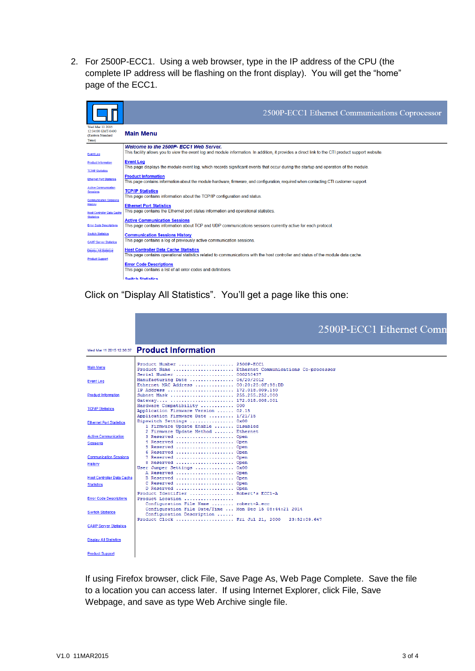2. For 2500P-ECC1. Using a web browser, type in the IP address of the CPU (the complete IP address will be flashing on the front display). You will get the "home" page of the ECC1.

|                                                                                 | 2500P-ECC1 Ethernet Communications Coprocessor                                                                                                                                              |
|---------------------------------------------------------------------------------|---------------------------------------------------------------------------------------------------------------------------------------------------------------------------------------------|
| Wed Mar 11 2015<br>12:34:00 GMT-0400<br>(Eastern Standard<br>Time)              | <b>Main Menu</b>                                                                                                                                                                            |
| <b>Event Log</b>                                                                | Welcome to the 2500P- ECC1 Web Server.<br>This facility allows you to view the event log and module information. In addition, it provides a direct link to the CTI product support website. |
| <b>Product Information</b><br><b>TCP/IP Statistics</b>                          | <b>Event Log</b><br>This page displays the module event log, which records significant events that occur during the startup and operation of the module.                                    |
| <b>Ethernet Port Statistics</b>                                                 | <b>Product Information</b><br>This page contains information about the module hardware, firmware, and configuration, required when contacting CTI customer support.                         |
| <b>Active Communication</b><br><b>Sessions</b><br><b>Communication Sessions</b> | <b>TCP/IP Statistics</b><br>This page contains information about the TCP/IP configuration and status.                                                                                       |
| <b>History</b><br><b>Host Controller Data Cache</b>                             | <b>Ethernet Port Statistics</b><br>This page contains the Ethernet port status information and operational statistics.                                                                      |
| <b>Statistics</b><br><b>Error Code Descriptions</b>                             | <b>Active Communication Sessions</b><br>This page contains information about TCP and UDP communications sessions currently active for each protocol.                                        |
| <b>Switch Statistics</b><br><b>CAMP Server Statistics</b>                       | <b>Communication Sessions History</b><br>This page contains a log of previously active communication sessions.                                                                              |
| <b>Display All Statistics</b><br><b>Product Support</b>                         | <b>Host Controller Data Cache Statistics</b><br>This page contains operational statistics related to communications with the host controller and status of the module data cache.           |
|                                                                                 | <b>Error Code Descriptions</b><br>This page contains a list of all error codes and definitions.                                                                                             |
|                                                                                 | <b>Switch Statistics</b>                                                                                                                                                                    |

Click on "Display All Statistics". You'll get a page like this one:

|                                                        | 2500P-ECC1 Ethernet Comn                                                                                                               |
|--------------------------------------------------------|----------------------------------------------------------------------------------------------------------------------------------------|
| Wed Mar 11 2015 12:36:37                               | <b>Product Information</b>                                                                                                             |
| <b>Main Menu</b>                                       | Product Number  2500P-ECC1<br>Product Name  Ethernet Communications Co-processor<br>Serial Number  000250437                           |
| <b>Event Log</b>                                       | Manufacturing Date  06/20/2012<br>Ethernet MAC Address $00:20:25:0F:98:DD$                                                             |
| <b>Product Information</b>                             | IP Address  172.018.009.150<br>Subnet Mask  255.255.252.000<br>Gateway  172.018.008.001                                                |
| <b>TCP/IP Statistics</b>                               | Hardware Compatibility  000<br>Application Firmware Version  02.15<br>Application Firmware Date  1/21/15                               |
| <b>Ethernet Port Statistics</b>                        | Dipswitch Settings  0x00<br>1 Firmware Update Enable  Disabled<br>2 Firmware Update Method  Ethernet                                   |
| <b>Active Communication</b><br><b>Sessions</b>         | 3 Reserved  Open<br>4 Reserved  Open<br>5 Reserved  Open                                                                               |
| <b>Communication Sessions</b><br>History               | 6 Reserved  Open<br>7 Reserved  Open<br>8 Reserved  Open<br>User Jumper Settings  0x00                                                 |
| <b>Host Controller Data Cache</b><br><b>Statistics</b> | A Reserved  Open<br>B Reserved  Open<br>C Reserved  Open<br>D Reserved  Open                                                           |
| <b>Error Code Descriptions</b>                         | Product Identifier  Robert's ECC1-A<br>Product Location<br>Configuration File Name  robert-A.ecc                                       |
| <b>Switch Statistics</b>                               | Configuration File Date/Time  Mon Dec 15 08:44:21 2014<br>Configuration Description<br>Product Clock  Fri Jul 21, 2000<br>23:52:09.647 |
| <b>CAMP Server Statistics</b>                          |                                                                                                                                        |
| <b>Display All Statistics</b>                          |                                                                                                                                        |
| <b>Product Support</b>                                 |                                                                                                                                        |

If using Firefox browser, click File, Save Page As, Web Page Complete. Save the file to a location you can access later. If using Internet Explorer, click File, Save Webpage, and save as type Web Archive single file.